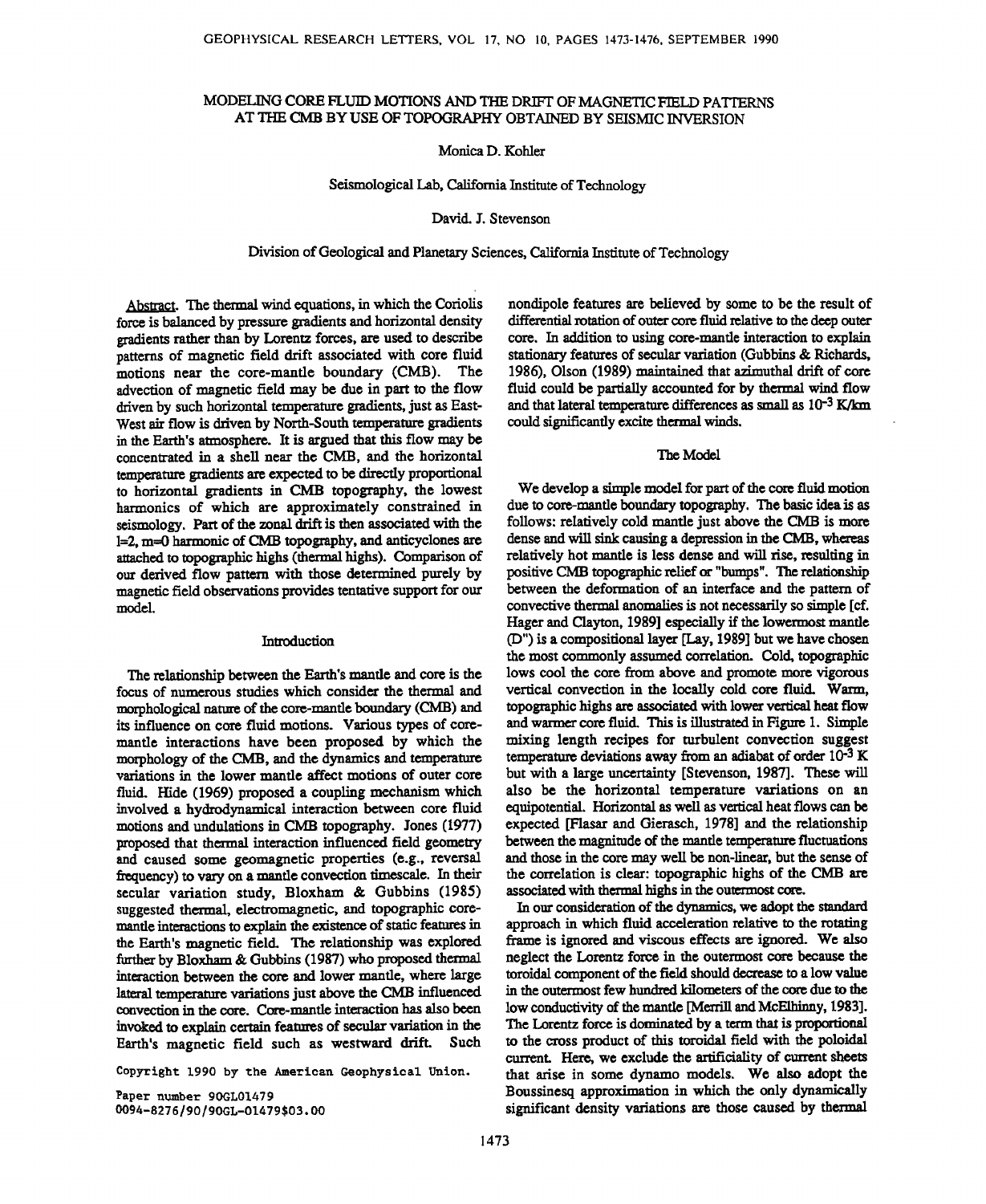# **MODELING CORE FLUID MOTIONS AND THE DRIFT OF MAGNETIC FIELD PATTERNS AT THE CMB BY USE OF TOPOGRAPHY OBTAINED BY SEISMIC INVERSION**

### **Monica D. Kohler**

**Seismological Lab, California Institute of Technology** 

# **David. J. Stevenson**

# **Division of Geological and Planetary Sciences, California Institute of Technology**

**Abstract. The thermal wind equations, in which the Coriolis force is balanced by pressure gradients and horizontal density gradients rather than by Lorentz forces, are used to describe patterns of magnetic field drift associated with core fluid motions near the core-mantle boundary (CMB). The advection of magnetic field may be due in part to the flow driven by such horizontal temperature gradients, just as East-West air flow is driven by North-South temperature gradients in the Earth's atmosphere. It is argued that this flow may be concentrated in a shell near the CMB, and the horizontal temperature gradients are expected to be directly proportional to horizontal gradients in CMB topography, the lowest harmonics of which are approximately constrained in seisinology. Part of the zonal drift is then associated with the**  1=2, m=0 harmonic of CMB topography, and anticyclones are attached to topographic highs (thermal highs). Comparison of **our derived flow pattern with those determined purely by magnetic field observations provides tentative support for our model.** 

#### **Introduction**

**The relationship between the Earth's mantle and core is the focus of numerous studies which consider the thermal and morphological nature of the core-mantle boundary (CMB) and its influence on core fluid motions. Various types of coremantle interactions have been proposed by which the morphology of the CMB, and the dynamics and temperature variations in the lower mantle affect motions of outer core fluid. Hide (1969) proposed a coupling mechanism which**  involved a hydrodynamical interaction between core fluid **motions and undulations in CMB topography. Jones (1977) proposed that thermal interaction influenced field geometry and caused some geomagnetic properties (e.g., reversal frequency) to vary on a manfie convection timescale. In their secular variation study, Bloxham & Gubbins (1985) suggested thermal, electromagnetic, and topographic core**mantle interactions to explain the existence of static features in **the Earth's magnetic field. The relationship was explored further by Bloxham & Gubbins (1987) who proposed thermal interaction between the core and lower manfie, where large lateral temperature variations just above the CMB influenced**  convection in the core. Core-mantle interaction has also been **invoked to explain certain features of secalax variation in the Earth's magnetic field such as westward drift. Such** 

**Copyright 1990 by the American Geophysical Union.** 

Paper number 90GL01479 **0094-8276/90 / 90GL-O!479503.00** 

**nondipole features are believed by some to be the result of differential rotation of outer core fluid relative to the deep outer core. In addition to using core-mantle interaction to explain**  stationary features of secular variation (Gubbins & Richards, **1986), Olson (1989) maintained that azimuthal drift of core fluid could be partially accounted for by thermal wind flow**  and that lateral temperature differences as small as  $10^{-3}$  K/km **could significantly excite thermal winds.** 

# **The Model**

**We develop a simple model for part of the core fluid motion due to core-mantle boundary topography. The basic idea is as follows: relatively cold mantle just above the CMB is more dense and will sink causing a depression in the CMB, whereas relatively hot manfie is less dense and will rise, resulting in positive CMB topographic relief or "bumps". The relationship between the deformation of an interface and the pattern of convective thermal anomalies is not necessarily so simple [cf. Hager and Clayton, 1989] especially if the lowermost manfie (D") is a compositional layer [Lay, 1989] but we have chosen the most commonly assumed correlation. Cold, topographic lows cool the core from above and promote more vigorous vertical convection in the locally cold core fluid. Warm, topographic highs axe associated with lower vertical heat flow and warmer core fluid. This is illustrated in Figure 1. Simple mixing length recipes for turbulent convection suggest temperature dviations away from an adiabat of order 10-3 K but with a large uncertainty [Stevenson, 1987]. These will also be the horizontal temperature variations on an equipotential. Horizontal as well as vertical heat flows can be expected [Flasar and Gierasch, 1978] and the relationship**  between the magnitude of the mantle temperature fluctuations **and those in the core may well be non-linear, but the sense of the correlation is clear: topographic highs of the CMB are associated with thermal highs in the outermost core.** 

In our consideration of the dynamics, we adopt the standard **approach in which fluid acceleration relative to the rotating frame is ignored and viscous effects are ignored. We also neglect the Lorentz force in the outermost core because the toroidal component of the field should decrease to a low value in the outermost few hundred kilometers of the core due to the**  low conductivity of the mantle [Merrill and McElhinny, 1983]. **The Lorentz force is dominated by a term that is proportional**  to the cross product of this toroidal field with the poloidal current. Here, we exclude the artificiality of current sheets **that arise in some dynamo models. We also adopt the Boussinesq approximation in which the only dynamically significant density variations axe those caused by therural**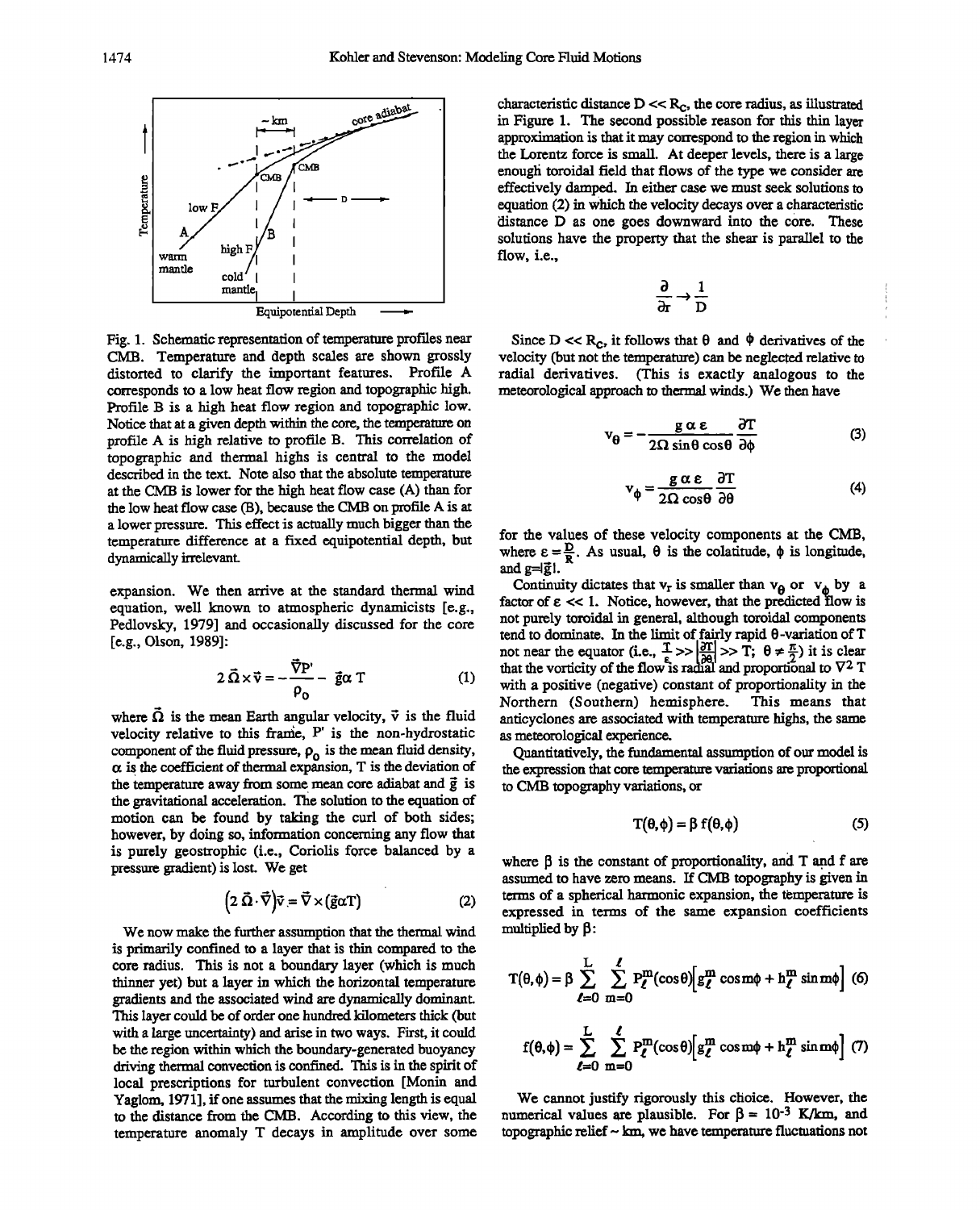

Fig. 1. Schematic representation of temperature profiles near **CMB. Temperature and depth scales are shown grossly distorted to clarify the important features. Profile A corresponds to a low heat flow region and topographic high. Profile B is a high heat flow region and topographic low. Notice that at a given depth within the core, the temperature on profile A is high relative to proffie B. This correlation of topographic and thermal highs is central to the model**  described in the text. Note also that the absolute temperature **at the CMB is lower for the high heat flow case (A) than for**  the low heat flow case (B), because the CMB on profile A is at **a lower pressure. This effect is actually much bigger than the temperature difference at a fixed equipotential depth, but dynamically irrelevant.** 

**expansion. We then arrive at the standard thermal wind equation, well known to atmospheric dynamicists [e.g., Pedlovsky, 1979] and occasionally discussed for the core [e.g., Olson, 1989]'** 

$$
2\,\vec{\Omega}\times\vec{v}=-\frac{\vec{\nabla}P'}{\rho_0}-\vec{g}\alpha\;T\qquad \qquad (1)
$$

where  $\overline{\Omega}$  is the mean Earth angular velocity,  $\overrightarrow{v}$  is the fluid velocity relative to this frame, P' is the non-hydrostatic component of the fluid pressure,  $\rho_0$  is the mean fluid density,  $\alpha$  is the coefficient of thermal expansion,  $T$  is the deviation of the temperature away from some mean core adiabat and  $\vec{g}$  is **the gravitational acceleration. The solution to the equation of motion can be found by taking the curl of both sides; however, by doing so, information concerning any flow that is purely geostrophic (i.e., Coriolis force balanced by a pressure gradient) is lost. We get** 

$$
(2 \ \vec{\Omega} \cdot \vec{\nabla}) \vec{v} = \vec{\nabla} \times (\vec{g} \alpha T) \tag{2}
$$

**We now make the further assumption that the thermal wind is primarily confined to a layer that is thin compared to the core radius. This is not a boundary layer (which is much thinner yet) but a layer in which the horizontal temperature gradients and the associated wind are dynamically dominant. This layer could be of order one hundred kilometers thick (but with a large uncertainty) and arise in two ways. First, it could be the region within which the boundary-generated buoyancy driving thermal convection isconfined. This is in the spirit of local prescriptions for turbulent convection [Monin and Yaglom, 1971], if one assumes that the mixing length is equal to the distance from the CMB. According to this view, the temperature anomaly T decays in amplitude over some** 

characteristic distance  $D \ll R_c$ , the core radius, as illustrated **in Figure 1. The second possible reason for this thin layer**  approximation is that it may correspond to the region in which **the Lorentz force is small. At deeper levels, there is a large enough toroidat field that flows of the type we consider are effectively damped. In either case we must seek solutions to equation (2) in which the velocity decays over a characteristic •listance D as one goes downward into the core. These solutions have the property that the shear is parallel to the flow, i.e.,** 

$$
\frac{\partial}{\partial r} \rightarrow \frac{1}{D}
$$

Since  $D \ll R_c$ , it follows that  $\theta$  and  $\phi$  derivatives of the **velocity (but not the temperature) can be neglected relative to radial derivatives. (This is exactly analogous to the meteorological approach to thermal winds.) We then have** 

$$
v_{\theta} = -\frac{g \alpha \epsilon}{2\Omega \sin \theta \cos \theta} \frac{\partial T}{\partial \phi}
$$
 (3)

$$
v_{\phi} = \frac{g \alpha \epsilon}{2\Omega \cos\theta} \frac{\partial T}{\partial \theta} \tag{4}
$$

**for the values of these velocity components at the CMB,**  where  $\epsilon = \frac{D}{R}$ . As usual,  $\theta$  is the colatitude,  $\phi$  is longitude, and  $g=|\vec{g}|$ .

Continuity dictates that  $v_r$  is smaller than  $v_\theta$  or  $v_\phi$  by a factor of  $\varepsilon \ll 1$ . Notice, however, that the predicted flow is **not purely toroidal in general, although toroidal components tend to dominate. In the limit of fairly rapid O-variation of T**  not near the equator (i.e.,  $\frac{1}{5} >> \left| \frac{d\Gamma}{\partial \theta} \right| >> T$ ;  $\theta \neq \frac{\pi}{2}$ ) it is clear that the vorticity of the flow is radial and proportional to  $V^2$  T with a positive (negative) constant of proportionality in the Northern (Southern) hemisphere. This means that Northern (Southern) hemisphere. **anticyclones are associated with temperature highs, the same as meteorological experience.** 

**Quantitatively, the fundamental assumption of our model is the expression that core temperature variations are proportional to CMB topography variations, or** 

$$
T(\theta, \phi) = \beta f(\theta, \phi) \tag{5}
$$

where  $\beta$  is the constant of proportionality, and  $T$  and  $f$  are **assumed to have zero means. if CMB topography is given in terms of a spherical harmonic expansion, the temperature is expressed in terms of the same expansion coefficients multiplied by β:** 

$$
T(\theta, \phi) = \beta \sum_{\ell=0}^{L} \sum_{m=0}^{\ell} P_{\ell}^{m}(\cos \theta) \Big[ g_{\ell}^{m} \cos m\phi + h_{\ell}^{m} \sin m\phi \Big] \tag{6}
$$

$$
f(\theta,\phi) = \sum_{\ell=0}^{\infty} \sum_{m=0}^{\infty} P_{\ell}^{m}(\cos\theta) \Big[ g_{\ell}^{m} \cos m\phi + h_{\ell}^{m} \sin m\phi \Big] (7)
$$

**We cannot justify rigorously this choice. However, the**  numerical values are plausible. For  $\beta = 10^{-3}$  K/km, and topographic relief  $\sim$  km, we have temperature fluctuations not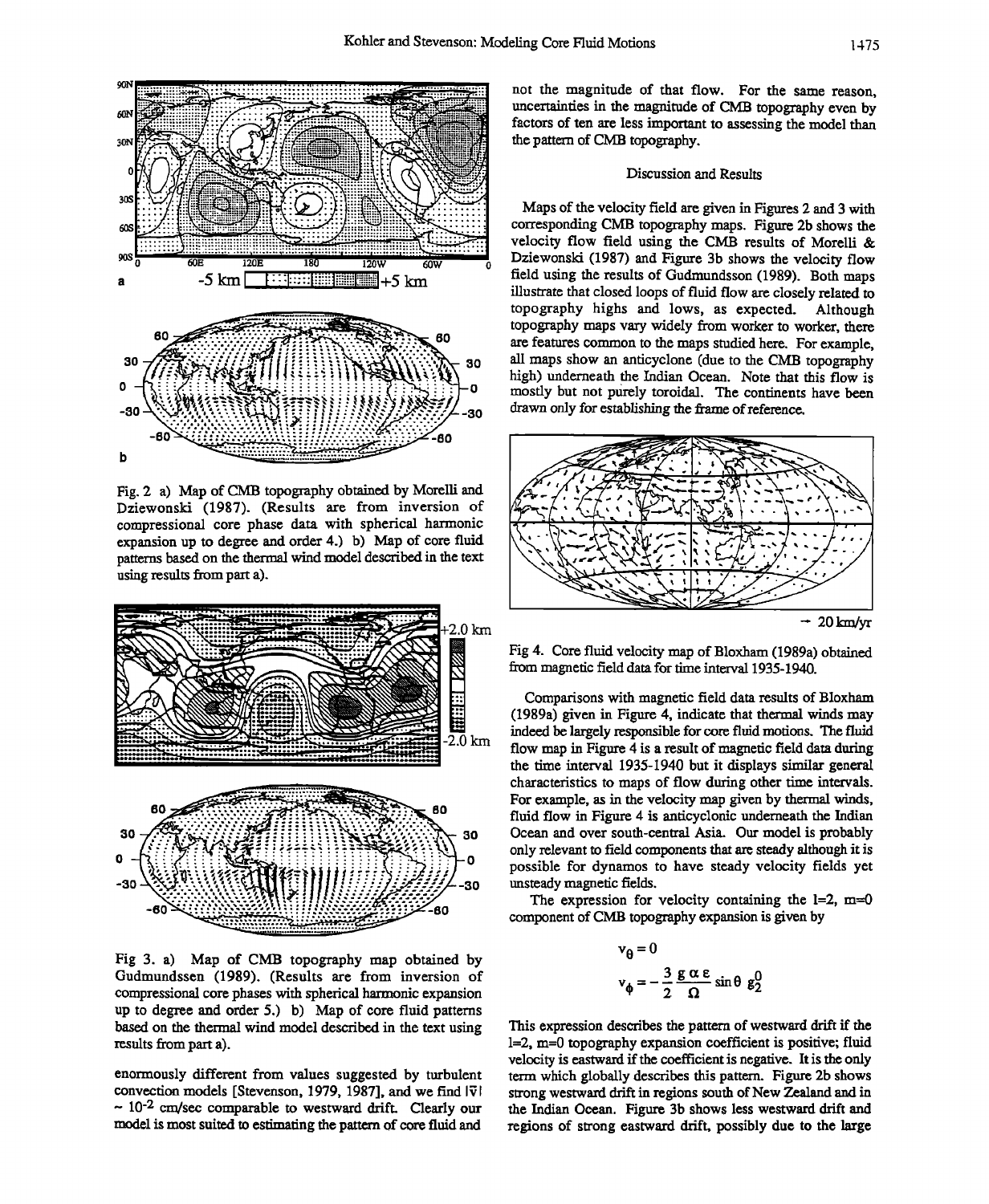

Fig. 2 a) Map of CMB topography obtained by Morelli and Dziewonski (1987). (Results are from inversion of compressional core phase data with spherical harmonic expansion up to degree and order 4.) b) Map of core fluid patterns based on the thermal wind model described in the text using results from part a).



Fig 3. a) Map of CMB topography map obtained by Gudmundssen (1989). (Results are from inversion of compressional core phases with spherical harmonic expansion up to degree and order 5.) b) Map of core fluid patterns based on the thermal wind model described in the text using results from part a).

enormously different from values suggested by turbulent convection models [Stevenson, 1979, 1987], and we find  $|\vec{v}|$  $\sim 10^{-2}$  cm/sec comparable to westward drift. Clearly our model is most suited to estimating the pattern of core fluid and

not the magnitude of that flow. For the same reason, uncertainties in the magnitude of CMB topography even by factors of ten are less important to assessing the model than the pattern of CMB topography.

## **Discussion and Results**

Maps of the velocity field are given in Figures 2 and 3 with corresponding CMB topography maps. Figure 2b shows the velocity flow field using the CMB results of Morelli & Dziewonski (1987) and Figure 3b shows the velocity flow field using the results of Gudmundsson (1989). Both maps illustrate that closed loops of fluid flow are closely related to topography highs and lows, as expected. Although topography maps vary widely from worker to worker, there are features common to the maps studied here. For example, all maps show an anticyclone (due to the CMB topography high) underneath the Indian Ocean. Note that this flow is mostly but not purely toroidal. The continents have been drawn only for establishing the frame of reference.



 $-20$  km/yr

Fig 4. Core fluid velocity map of Bloxham (1989a) obtained from magnetic field data for time interval 1935-1940.

Comparisons with magnetic field data results of Bloxham (1989a) given in Figure 4, indicate that thermal winds may indeed be largely responsible for core fluid motions. The fluid flow map in Figure 4 is a result of magnetic field data during the time interval 1935-1940 but it displays similar general characteristics to maps of flow during other time intervals. For example, as in the velocity map given by thermal winds, fluid flow in Figure 4 is anticyclonic underneath the Indian Ocean and over south-central Asia. Our model is probably only relevant to field components that are steady although it is possible for dynamos to have steady velocity fields yet unsteady magnetic fields.

The expression for velocity containing the  $l=2$ ,  $m=0$ component of CMB topography expansion is given by

$$
v_{\theta} = 0
$$
  

$$
v_{\phi} = -\frac{3}{2} \frac{g \alpha \epsilon}{\Omega} \sin \theta g_2^0
$$

This expression describes the pattern of westward drift if the  $l=2$ ,  $m=0$  topography expansion coefficient is positive; fluid velocity is eastward if the coefficient is negative. It is the only term which globally describes this pattern. Figure 2b shows strong westward drift in regions south of New Zealand and in the Indian Ocean. Figure 3b shows less westward drift and regions of strong eastward drift, possibly due to the large